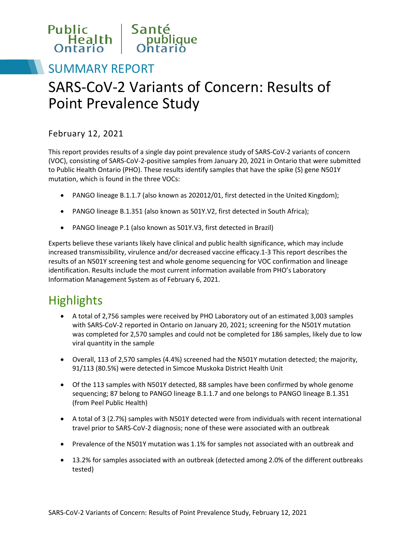

# SUMMARY REPORT SARS-CoV-2 Variants of Concern: Results of Point Prevalence Study

### February 12, 2021

This report provides results of a single day point prevalence study of SARS-CoV-2 variants of concern (VOC), consisting of SARS-CoV-2-positive samples from January 20, 2021 in Ontario that were submitted to Public Health Ontario (PHO). These results identify samples that have the spike (S) gene N501Y mutation, which is found in the three VOCs:

- PANGO lineage B.1.1.7 (also known as 202012/01, first detected in the United Kingdom);
- PANGO lineage B.1.351 (also known as 501Y.V2, first detected in South Africa);
- PANGO lineage P.1 (also known as 501Y.V3, first detected in Brazil)

Experts believe these variants likely have clinical and public health significance, which may include increased transmissibility, virulence and/or decreased vaccine efficacy[.1-3](#page-8-0) This report describes the results of an N501Y screening test and whole genome sequencing for VOC confirmation and lineage identification. Results include the most current information available from PHO's Laboratory Information Management System as of February 6, 2021.

## **Highlights**

- A total of 2,756 samples were received by PHO Laboratory out of an estimated 3,003 samples with SARS-CoV-2 reported in Ontario on January 20, 2021; screening for the N501Y mutation was completed for 2,570 samples and could not be completed for 186 samples, likely due to low viral quantity in the sample
- Overall, 113 of 2,570 samples (4.4%) screened had the N501Y mutation detected; the majority, 91/113 (80.5%) were detected in Simcoe Muskoka District Health Unit
- (from Peel Public Health) • Of the 113 samples with N501Y detected, 88 samples have been confirmed by whole genome sequencing; 87 belong to PANGO lineage B.1.1.7 and one belongs to PANGO lineage B.1.351
- A total of 3 (2.7%) samples with N501Y detected were from individuals with recent international travel prior to SARS-CoV-2 diagnosis; none of these were associated with an outbreak
- Prevalence of the N501Y mutation was 1.1% for samples not associated with an outbreak and
- 13.2% for samples associated with an outbreak (detected among 2.0% of the different outbreaks tested)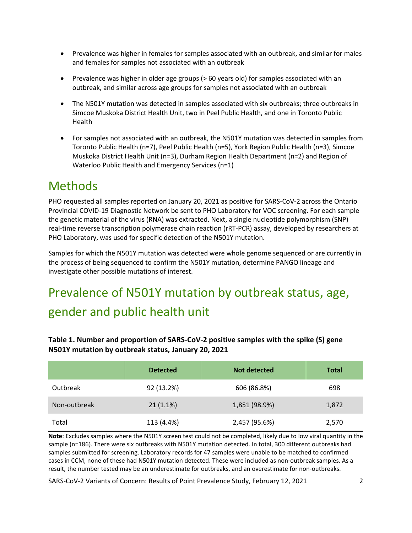- Prevalence was higher in females for samples associated with an outbreak, and similar for males and females for samples not associated with an outbreak
- Prevalence was higher in older age groups (> 60 years old) for samples associated with an outbreak, and similar across age groups for samples not associated with an outbreak
- The N501Y mutation was detected in samples associated with six outbreaks; three outbreaks in Simcoe Muskoka District Health Unit, two in Peel Public Health, and one in Toronto Public Health
- For samples not associated with an outbreak, the N501Y mutation was detected in samples from Toronto Public Health (n=7), Peel Public Health (n=5), York Region Public Health (n=3), Simcoe Muskoka District Health Unit (n=3), Durham Region Health Department (n=2) and Region of Waterloo Public Health and Emergency Services (n=1)

## **Methods**

PHO requested all samples reported on January 20, 2021 as positive for SARS-CoV-2 across the Ontario Provincial COVID-19 Diagnostic Network be sent to PHO Laboratory for VOC screening. For each sample the genetic material of the virus (RNA) was extracted. Next, a single nucleotide polymorphism (SNP) real-time reverse transcription polymerase chain reaction (rRT-PCR) assay, developed by researchers at PHO Laboratory, was used for specific detection of the N501Y mutation.

Samples for which the N501Y mutation was detected were whole genome sequenced or are currently in the process of being sequenced to confirm the N501Y mutation, determine PANGO lineage and investigate other possible mutations of interest.

# Prevalence of N501Y mutation by outbreak status, age, gender and public health unit

| Table 1. Number and proportion of SARS-CoV-2 positive samples with the spike (S) gene |
|---------------------------------------------------------------------------------------|
| N501Y mutation by outbreak status, January 20, 2021                                   |

|              | <b>Detected</b> | Not detected  | <b>Total</b> |
|--------------|-----------------|---------------|--------------|
| Outbreak     | 92 (13.2%)      | 606 (86.8%)   | 698          |
| Non-outbreak | $21(1.1\%)$     | 1,851 (98.9%) | 1,872        |
| Total        | 113 (4.4%)      | 2,457 (95.6%) | 2,570        |

**Note**: Excludes samples where the N501Y screen test could not be completed, likely due to low viral quantity in the sample (n=186). There were six outbreaks with N501Y mutation detected. In total, 300 different outbreaks had samples submitted for screening. Laboratory records for 47 samples were unable to be matched to confirmed cases in CCM, none of these had N501Y mutation detected. These were included as non-outbreak samples. As a result, the number tested may be an underestimate for outbreaks, and an overestimate for non-outbreaks.

SARS-CoV-2 Variants of Concern: Results of Point Prevalence Study, February 12, 2021 2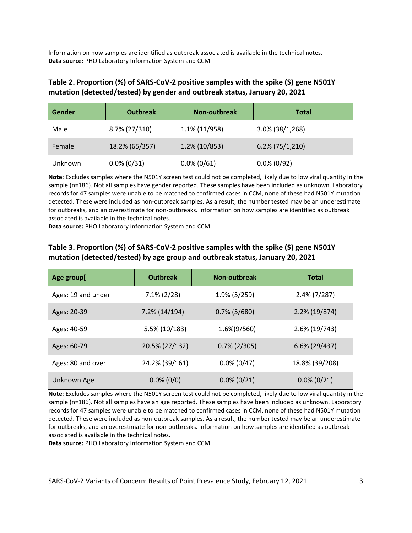Information on how samples are identified as outbreak associated is available in the technical notes. **Data source:** PHO Laboratory Information System and CCM

#### **Table 2. Proportion (%) of SARS-CoV-2 positive samples with the spike (S) gene N501Y mutation (detected/tested) by gender and outbreak status, January 20, 2021**

| Gender  | <b>Outbreak</b> | <b>Non-outbreak</b> | Total              |
|---------|-----------------|---------------------|--------------------|
| Male    | 8.7% (27/310)   | 1.1% (11/958)       | $3.0\%$ (38/1,268) |
| Female  | 18.2% (65/357)  | $1.2\%$ (10/853)    | $6.2\%$ (75/1,210) |
| Unknown | $0.0\% (0/31)$  | $0.0\%$ (0/61)      | $0.0\%$ (0/92)     |

**Note**: Excludes samples where the N501Y screen test could not be completed, likely due to low viral quantity in the sample (n=186). Not all samples have gender reported. These samples have been included as unknown. Laboratory records for 47 samples were unable to be matched to confirmed cases in CCM, none of these had N501Y mutation detected. These were included as non-outbreak samples. As a result, the number tested may be an underestimate for outbreaks, and an overestimate for non-outbreaks. Information on how samples are identified as outbreak associated is available in the technical notes.

**Data source:** PHO Laboratory Information System and CCM

| Age group[         | <b>Outbreak</b> | Non-outbreak    | <b>Total</b>     |
|--------------------|-----------------|-----------------|------------------|
| Ages: 19 and under | $7.1\% (2/28)$  | 1.9% (5/259)    | $2.4\%$ (7/287)  |
| Ages: 20-39        | 7.2% (14/194)   | $0.7\%$ (5/680) | $2.2\%$ (19/874) |
| Ages: 40-59        | 5.5% (10/183)   | 1.6%(9/560)     | 2.6% (19/743)    |
| Ages: 60-79        | 20.5% (27/132)  | $0.7\%$ (2/305) | $6.6\%$ (29/437) |
| Ages: 80 and over  | 24.2% (39/161)  | $0.0\%$ (0/47)  | 18.8% (39/208)   |
| Unknown Age        | $0.0\%$ (0/0)   | $0.0\% (0/21)$  | $0.0\%$ (0/21)   |

#### **Table 3. Proportion (%) of SARS-CoV-2 positive samples with the spike (S) gene N501Y mutation (detected/tested) by age group and outbreak status, January 20, 2021**

**Note**: Excludes samples where the N501Y screen test could not be completed, likely due to low viral quantity in the sample (n=186). Not all samples have an age reported. These samples have been included as unknown. Laboratory records for 47 samples were unable to be matched to confirmed cases in CCM, none of these had N501Y mutation detected. These were included as non-outbreak samples. As a result, the number tested may be an underestimate for outbreaks, and an overestimate for non-outbreaks. Information on how samples are identified as outbreak associated is available in the technical notes.

**Data source:** PHO Laboratory Information System and CCM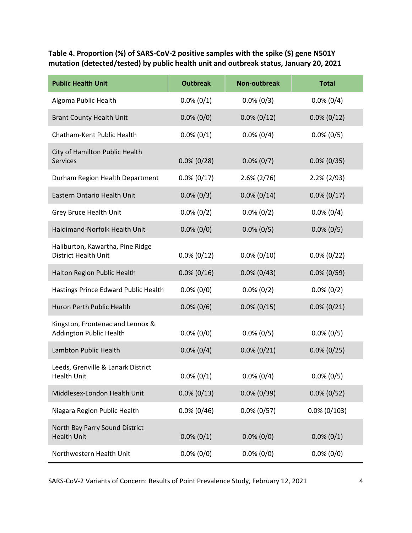**Table 4. Proportion (%) of SARS-CoV-2 positive samples with the spike (S) gene N501Y mutation (detected/tested) by public health unit and outbreak status, January 20, 2021**

| <b>Public Health Unit</b>                                       | <b>Outbreak</b> | <b>Non-outbreak</b> | <b>Total</b>    |
|-----------------------------------------------------------------|-----------------|---------------------|-----------------|
| Algoma Public Health                                            | $0.0\%$ (0/1)   | $0.0\% (0/3)$       | $0.0\% (0/4)$   |
| <b>Brant County Health Unit</b>                                 | $0.0\%$ (0/0)   | $0.0\% (0/12)$      | $0.0\% (0/12)$  |
| Chatham-Kent Public Health                                      | $0.0\% (0/1)$   | $0.0\%$ (0/4)       | $0.0\% (0/5)$   |
| City of Hamilton Public Health<br><b>Services</b>               | $0.0\%$ (0/28)  | $0.0\% (0/7)$       | $0.0\%$ (0/35)  |
| Durham Region Health Department                                 | $0.0\% (0/17)$  | $2.6\% (2/76)$      | $2.2\%$ (2/93)  |
| Eastern Ontario Health Unit                                     | $0.0\% (0/3)$   | $0.0\% (0/14)$      | $0.0\% (0/17)$  |
| Grey Bruce Health Unit                                          | $0.0\% (0/2)$   | $0.0\% (0/2)$       | $0.0\% (0/4)$   |
| Haldimand-Norfolk Health Unit                                   | $0.0\%$ (0/0)   | $0.0\% (0/5)$       | $0.0\%$ (0/5)   |
| Haliburton, Kawartha, Pine Ridge<br><b>District Health Unit</b> | $0.0\% (0/12)$  | $0.0\% (0/10)$      | $0.0\% (0/22)$  |
| Halton Region Public Health                                     | $0.0\% (0/16)$  | $0.0\%$ (0/43)      | $0.0\%$ (0/59)  |
| Hastings Prince Edward Public Health                            | $0.0\%$ (0/0)   | $0.0\% (0/2)$       | $0.0\% (0/2)$   |
| Huron Perth Public Health                                       | $0.0\%$ (0/6)   | $0.0\% (0/15)$      | $0.0\% (0/21)$  |
| Kingston, Frontenac and Lennox &<br>Addington Public Health     | $0.0\%$ (0/0)   | $0.0\% (0/5)$       | $0.0\% (0/5)$   |
| Lambton Public Health                                           | $0.0\% (0/4)$   | $0.0\% (0/21)$      | $0.0\% (0/25)$  |
| Leeds, Grenville & Lanark District<br><b>Health Unit</b>        | $0.0\% (0/1)$   | $0.0\% (0/4)$       | $0.0\%$ (0/5)   |
| Middlesex-London Health Unit                                    | $0.0\% (0/13)$  | $0.0\% (0/39)$      | $0.0\% (0/52)$  |
| Niagara Region Public Health                                    | $0.0\%$ (0/46)  | $0.0\% (0/57)$      | $0.0\%$ (0/103) |
| North Bay Parry Sound District<br><b>Health Unit</b>            | $0.0\% (0/1)$   | $0.0\%$ (0/0)       | $0.0\% (0/1)$   |
| Northwestern Health Unit                                        | $0.0\%$ (0/0)   | $0.0\%$ (0/0)       | $0.0\%$ (0/0)   |

SARS-CoV-2 Variants of Concern: Results of Point Prevalence Study, February 12, 2021 4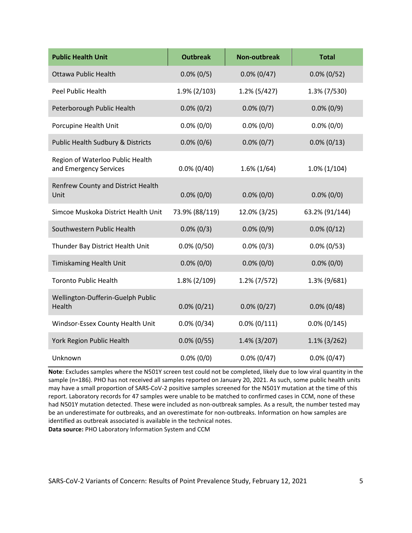| <b>Public Health Unit</b>                                  | <b>Outbreak</b> | <b>Non-outbreak</b> | <b>Total</b>    |
|------------------------------------------------------------|-----------------|---------------------|-----------------|
| <b>Ottawa Public Health</b>                                | $0.0\%$ (0/5)   | $0.0\%$ (0/47)      | $0.0\% (0/52)$  |
| <b>Peel Public Health</b>                                  | $1.9\%$ (2/103) | $1.2\%$ (5/427)     | 1.3% (7/530)    |
| Peterborough Public Health                                 | $0.0\% (0/2)$   | $0.0\% (0/7)$       | $0.0\% (0/9)$   |
| Porcupine Health Unit                                      | $0.0\%$ (0/0)   | $0.0\%$ (0/0)       | $0.0\%$ (0/0)   |
| Public Health Sudbury & Districts                          | $0.0\%$ (0/6)   | $0.0\%$ (0/7)       | $0.0\% (0/13)$  |
| Region of Waterloo Public Health<br>and Emergency Services | $0.0\%$ (0/40)  | $1.6\%$ (1/64)      | $1.0\%$ (1/104) |
| Renfrew County and District Health<br>Unit                 | $0.0\%$ (0/0)   | $0.0\%$ (0/0)       | $0.0\%$ (0/0)   |
| Simcoe Muskoka District Health Unit                        | 73.9% (88/119)  | 12.0% (3/25)        | 63.2% (91/144)  |
| Southwestern Public Health                                 | $0.0\% (0/3)$   | $0.0\%$ (0/9)       | $0.0\% (0/12)$  |
| Thunder Bay District Health Unit                           | $0.0\%$ (0/50)  | $0.0\% (0/3)$       | $0.0\%$ (0/53)  |
| Timiskaming Health Unit                                    | $0.0\%$ (0/0)   | $0.0\%$ (0/0)       | $0.0\%$ (0/0)   |
| <b>Toronto Public Health</b>                               | $1.8\%$ (2/109) | $1.2\%$ (7/572)     | 1.3% (9/681)    |
| Wellington-Dufferin-Guelph Public<br>Health                | $0.0\% (0/21)$  | $0.0\% (0/27)$      | $0.0\%$ (0/48)  |
| Windsor-Essex County Health Unit                           | $0.0\% (0/34)$  | $0.0\%$ (0/111)     | $0.0\%$ (0/145) |
| York Region Public Health                                  | $0.0\%$ (0/55)  | $1.4\%$ (3/207)     | $1.1\%$ (3/262) |
| Unknown                                                    | $0.0\%$ (0/0)   | $0.0\% (0/47)$      | $0.0\%$ (0/47)  |

**Note**: Excludes samples where the N501Y screen test could not be completed, likely due to low viral quantity in the sample (n=186). PHO has not received all samples reported on January 20, 2021. As such, some public health units may have a small proportion of SARS-CoV-2 positive samples screened for the N501Y mutation at the time of this report. Laboratory records for 47 samples were unable to be matched to confirmed cases in CCM, none of these had N501Y mutation detected. These were included as non-outbreak samples. As a result, the number tested may be an underestimate for outbreaks, and an overestimate for non-outbreaks. Information on how samples are identified as outbreak associated is available in the technical notes. **Data source:** PHO Laboratory Information System and CCM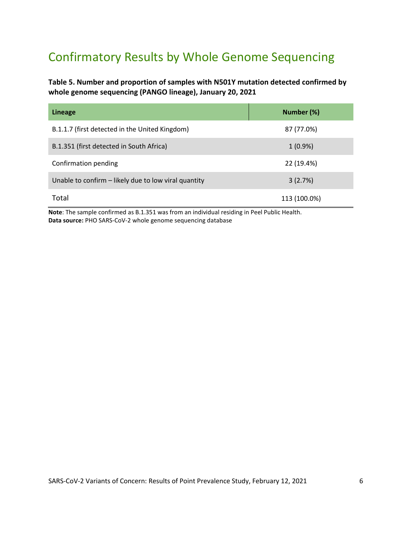## Confirmatory Results by Whole Genome Sequencing

**Table 5. Number and proportion of samples with N501Y mutation detected confirmed by whole genome sequencing (PANGO lineage), January 20, 2021**

| <b>Lineage</b>                                       | Number (%)   |
|------------------------------------------------------|--------------|
| B.1.1.7 (first detected in the United Kingdom)       | 87 (77.0%)   |
| B.1.351 (first detected in South Africa)             | $1(0.9\%)$   |
| Confirmation pending                                 | 22 (19.4%)   |
| Unable to confirm – likely due to low viral quantity | 3(2.7%)      |
| Total                                                | 113 (100.0%) |

**Note**: The sample confirmed as B.1.351 was from an individual residing in Peel Public Health. **Data source:** PHO SARS-CoV-2 whole genome sequencing database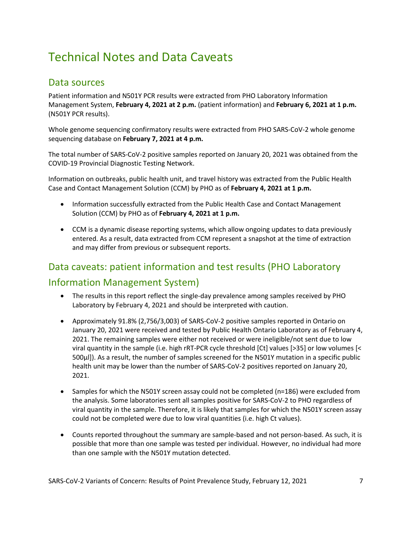## Technical Notes and Data Caveats

### Data sources

Patient information and N501Y PCR results were extracted from PHO Laboratory Information Management System, **February 4, 2021 at 2 p.m.** (patient information) and **February 6, 2021 at 1 p.m.** (N501Y PCR results).

Whole genome sequencing confirmatory results were extracted from PHO SARS-CoV-2 whole genome sequencing database on **February 7, 2021 at 4 p.m.**

The total number of SARS-CoV-2 positive samples reported on January 20, 2021 was obtained from the COVID-19 Provincial Diagnostic Testing Network.

Information on outbreaks, public health unit, and travel history was extracted from the Public Health Case and Contact Management Solution (CCM) by PHO as of **February 4, 2021 at 1 p.m.**

- Information successfully extracted from the Public Health Case and Contact Management Solution (CCM) by PHO as of **February 4, 2021 at 1 p.m.**
- CCM is a dynamic disease reporting systems, which allow ongoing updates to data previously entered. As a result, data extracted from CCM represent a snapshot at the time of extraction and may differ from previous or subsequent reports.

## Data caveats: patient information and test results (PHO Laboratory Information Management System)

- The results in this report reflect the single-day prevalence among samples received by PHO Laboratory by February 4, 2021 and should be interpreted with caution.
- Approximately 91.8% (2,756/3,003) of SARS-CoV-2 positive samples reported in Ontario on January 20, 2021 were received and tested by Public Health Ontario Laboratory as of February 4, 2021. The remaining samples were either not received or were ineligible/not sent due to low viral quantity in the sample (i.e. high rRT-PCR cycle threshold [Ct] values [>35] or low volumes [< 500µl]). As a result, the number of samples screened for the N501Y mutation in a specific public health unit may be lower than the number of SARS-CoV-2 positives reported on January 20, 2021.
- Samples for which the N501Y screen assay could not be completed (n=186) were excluded from the analysis. Some laboratories sent all samples positive for SARS-CoV-2 to PHO regardless of viral quantity in the sample. Therefore, it is likely that samples for which the N501Y screen assay could not be completed were due to low viral quantities (i.e. high Ct values).
- Counts reported throughout the summary are sample-based and not person-based. As such, it is possible that more than one sample was tested per individual. However, no individual had more than one sample with the N501Y mutation detected.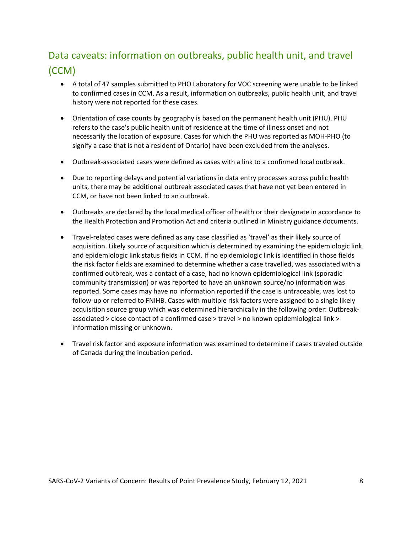## Data caveats: information on outbreaks, public health unit, and travel (CCM)

- A total of 47 samples submitted to PHO Laboratory for VOC screening were unable to be linked to confirmed cases in CCM. As a result, information on outbreaks, public health unit, and travel history were not reported for these cases.
- Orientation of case counts by geography is based on the permanent health unit (PHU). PHU refers to the case's public health unit of residence at the time of illness onset and not necessarily the location of exposure. Cases for which the PHU was reported as MOH-PHO (to signify a case that is not a resident of Ontario) have been excluded from the analyses.
- Outbreak-associated cases were defined as cases with a link to a confirmed local outbreak.
- Due to reporting delays and potential variations in data entry processes across public health units, there may be additional outbreak associated cases that have not yet been entered in CCM, or have not been linked to an outbreak.
- Outbreaks are declared by the local medical officer of health or their designate in accordance to the Health Protection and Promotion Act and criteria outlined i[n Ministry guidance documents.](http://www.health.gov.on.ca/en/pro/programs/publichealth/coronavirus/2019_guidance.aspx)
- Travel-related cases were defined as any case classified as 'travel' as their likely source of acquisition. Likely source of acquisition which is determined by examining the epidemiologic link and epidemiologic link status fields in CCM. If no epidemiologic link is identified in those fields the risk factor fields are examined to determine whether a case travelled, was associated with a confirmed outbreak, was a contact of a case, had no known epidemiological link (sporadic community transmission) or was reported to have an unknown source/no information was reported. Some cases may have no information reported if the case is untraceable, was lost to follow-up or referred to FNIHB. Cases with multiple risk factors were assigned to a single likely acquisition source group which was determined hierarchically in the following order: Outbreakassociated > close contact of a confirmed case > travel > no known epidemiological link > information missing or unknown.
- Travel risk factor and exposure information was examined to determine if cases traveled outside of Canada during the incubation period.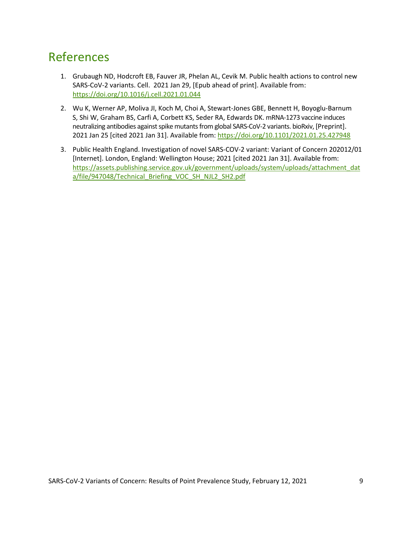## <span id="page-8-0"></span>References

- 1. Grubaugh ND, Hodcroft EB, Fauver JR, Phelan AL, Cevik M. Public health actions to control new SARS-CoV-2 variants. Cell. 2021 Jan 29, [Epub ahead of print]. Available from: <https://doi.org/10.1016/j.cell.2021.01.044>
- 2. Wu K, Werner AP, Moliva JI, Koch M, Choi A, Stewart-Jones GBE, Bennett H, Boyoglu-Barnum S, Shi W, Graham BS, Carfi A, Corbett KS, Seder RA, Edwards DK. mRNA-1273 vaccine induces neutralizing antibodies against spike mutants from global SARS-CoV-2 variants. bioRxiv, [Preprint]. 2021 Jan 25 [cited 2021 Jan 31]. Available from: <https://doi.org/10.1101/2021.01.25.427948>
- 3. Public Health England. Investigation of novel SARS-COV-2 variant: Variant of Concern 202012/01 [Internet]. London, England: Wellington House; 2021 [cited 2021 Jan 31]. Available from: [https://assets.publishing.service.gov.uk/government/uploads/system/uploads/attachment\\_dat](https://assets.publishing.service.gov.uk/government/uploads/system/uploads/attachment_data/file/947048/Technical_Briefing_VOC_SH_NJL2_SH2.pdf) [a/file/947048/Technical\\_Briefing\\_VOC\\_SH\\_NJL2\\_SH2.pdf](https://assets.publishing.service.gov.uk/government/uploads/system/uploads/attachment_data/file/947048/Technical_Briefing_VOC_SH_NJL2_SH2.pdf)